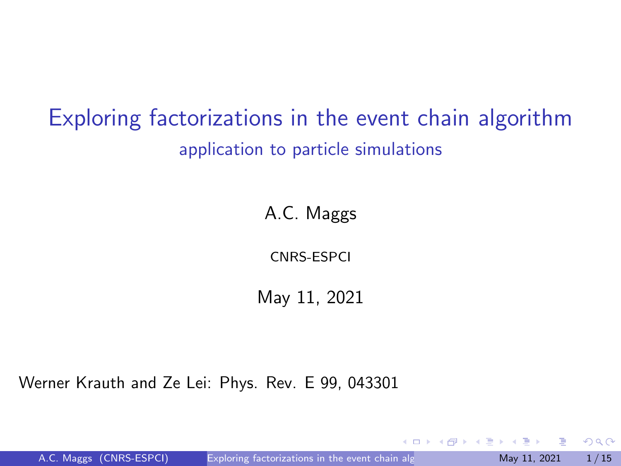# <span id="page-0-0"></span>Exploring factorizations in the event chain algorithm application to particle simulations

A.C. Maggs

CNRS-ESPCI

May 11, 2021

Werner Krauth and Ze Lei: Phys. Rev. E 99, 043301

A.C. Maggs (CNRS-ESPCI) Exploring factorizations in the event chain alg May 11, 2021 1/15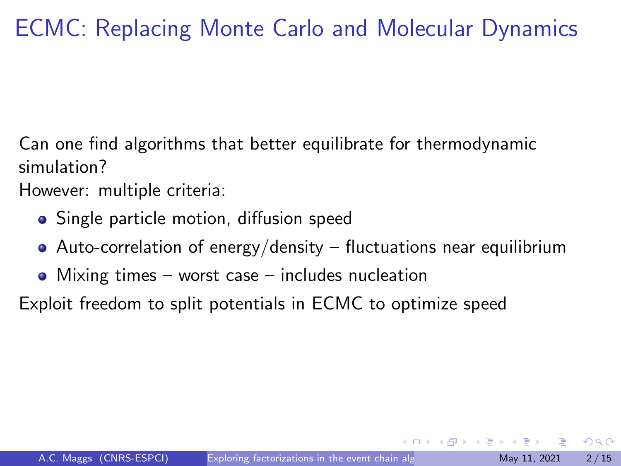# ECMC: Replacing Monte Carlo and Molecular Dynamics

Can one find algorithms that better equilibrate for thermodynamic simulation?

However: multiple criteria:

- Single particle motion, diffusion speed
- Auto-correlation of energy/density fluctuations near equilibrium
- Mixing times worst case includes nucleation

Exploit freedom to split potentials in ECMC to optimize speed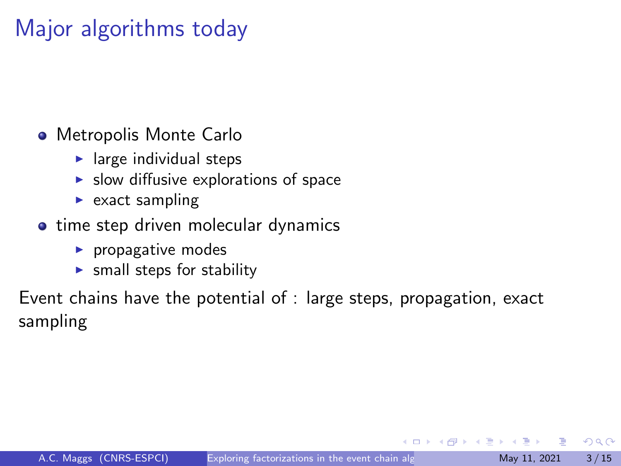## Major algorithms today

- Metropolis Monte Carlo
	- $\blacktriangleright$  large individual steps
	- $\blacktriangleright$  slow diffusive explorations of space
	- $\triangleright$  exact sampling
- time step driven molecular dynamics
	- $\blacktriangleright$  propagative modes
	- $\triangleright$  small steps for stability

Event chains have the potential of : large steps, propagation, exact sampling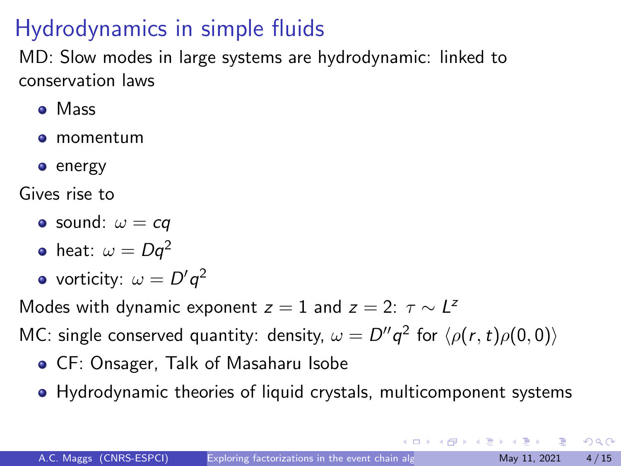# Hydrodynamics in simple fluids

MD: Slow modes in large systems are hydrodynamic: linked to conservation laws

- Mass
- momentum
- **e** energy

Gives rise to

- sound:  $\omega = cq$
- heat:  $\omega = Dq^2$
- vorticity:  $\omega = D'q^2$

Modes with dynamic exponent  $z = 1$  and  $z = 2$ :  $\tau \sim L^2$ 

MC: single conserved quantity: density,  $\omega = D''q^2$  for  $\langle \rho(r,t)\rho(0,0)\rangle$ 

- CF: Onsager, Talk of Masaharu Isobe
- Hydrodynamic theories of liquid crystals, multicomponent systems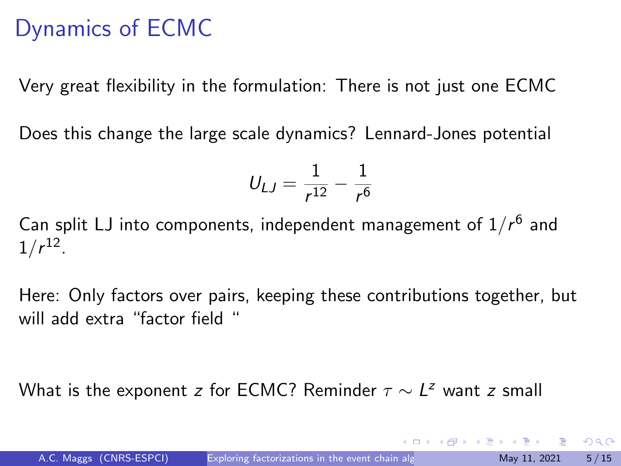## Dynamics of ECMC

Very great flexibility in the formulation: There is not just one ECMC

Does this change the large scale dynamics? Lennard-Jones potential

$$
U_{LJ} = \frac{1}{r^{12}} - \frac{1}{r^6}
$$

Can split LJ into components, independent management of  $1/r^6$  and  $1/r^{12}$ .

Here: Only factors over pairs, keeping these contributions together, but will add extra "factor field "

What is the exponent z for ECMC? Reminder  $\tau \sim L^z$  want z small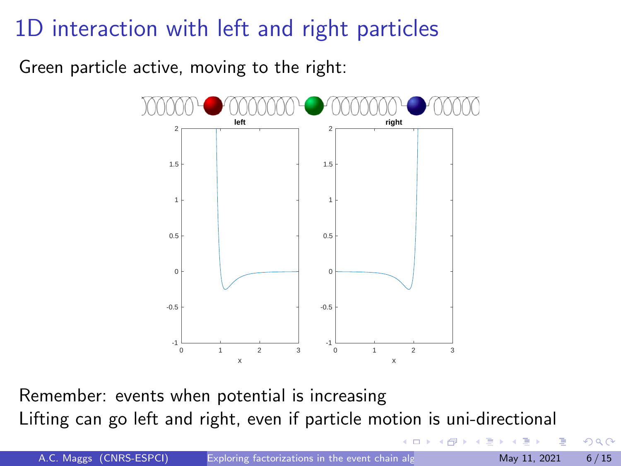## 1D interaction with left and right particles

Green particle active, moving to the right:



Remember: events when potential is increasing Lifting can go left and right, even if particle motion is uni-directional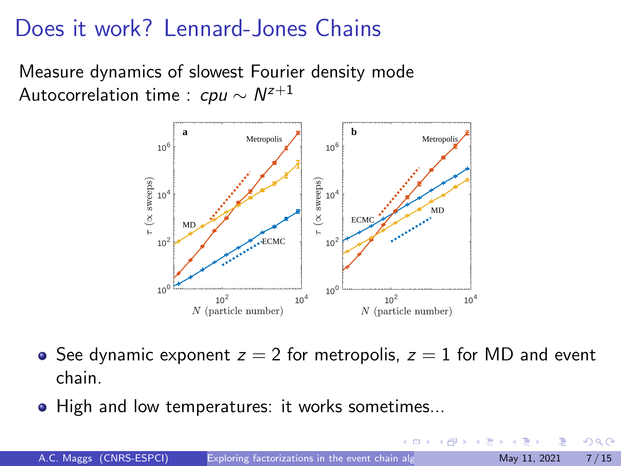## Does it work? Lennard-Jones Chains

Measure dynamics of slowest Fourier density mode Autocorrelation time : *cpu*  $\sim$   $N^{z+1}$ 



- See dynamic exponent  $z = 2$  for metropolis,  $z = 1$  for MD and event chain.
- High and low temperatures: it works sometimes...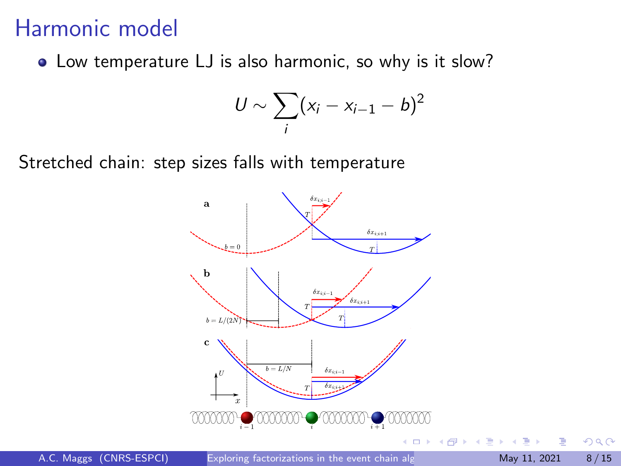#### Harmonic model

• Low temperature LJ is also harmonic, so why is it slow?

$$
U \sim \sum_i (x_i - x_{i-1} - b)^2
$$

Stretched chain: step sizes falls with temperature

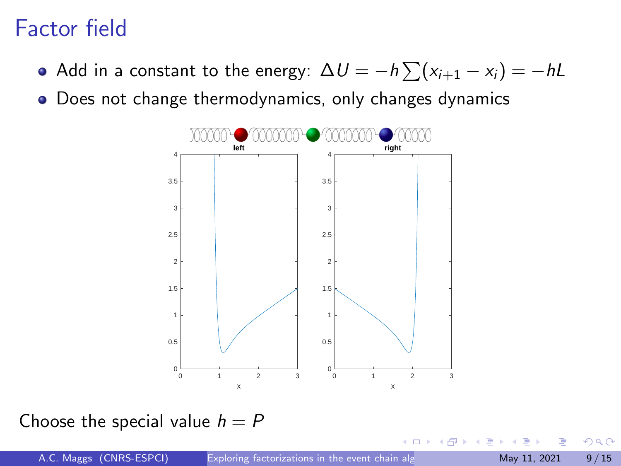## Factor field

- Add in a constant to the energy:  $\Delta U = -h\sum (x_{i+1} x_i) = -hL$
- Does not change thermodynamics, only changes dynamics



#### Choose the special value  $h = P$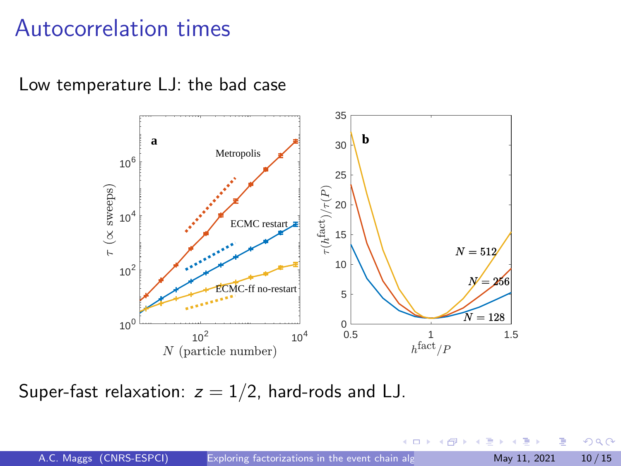#### Autocorrelation times

Low temperature LJ: the bad case



Super-fast relaxation:  $z = 1/2$ , hard-rods and LJ.

 $QQ$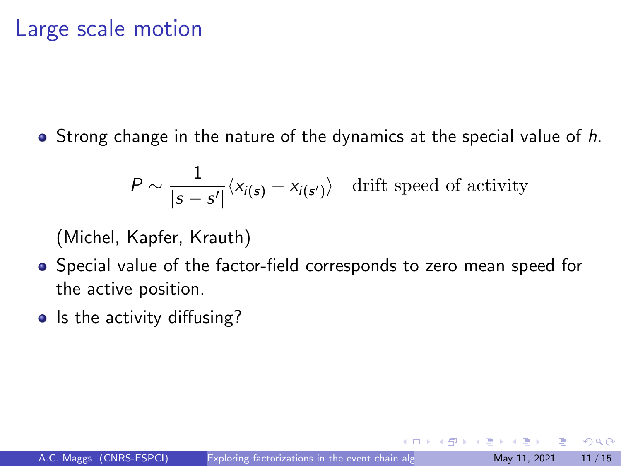#### Large scale motion

 $\bullet$  Strong change in the nature of the dynamics at the special value of h.

$$
P \sim \frac{1}{|\mathbf{s} - \mathbf{s}'|} \langle x_{i(\mathbf{s})} - x_{i(\mathbf{s}')} \rangle
$$
 drift speed of activity

(Michel, Kapfer, Krauth)

- Special value of the factor-field corresponds to zero mean speed for the active position.
- Is the activity diffusing?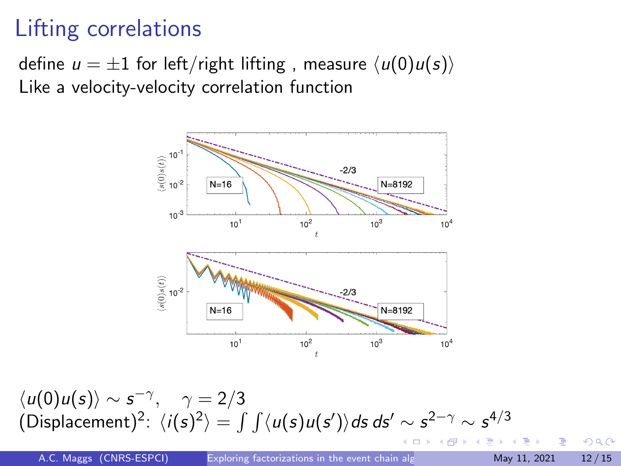# Lifting correlations

define  $u = \pm 1$  for left/right lifting, measure  $\langle u(0)u(s)\rangle$ Like a velocity-velocity correlation function



 $\langle u(0)u(s)\rangle \sim s^{-\gamma}, \quad \gamma=2/3$ (Displacement)<sup>2</sup>:  $\langle i(s)^2 \rangle = \int \int \langle u(s)u(s') \rangle ds \, ds' \sim s^{2-\gamma} \sim s^{4/3}$ 

A.C. Maggs (CNRS-ESPCI) [Exploring factorizations in the event chain algorithm](#page-0-0) May 11, 2021 12/15

 $QQ$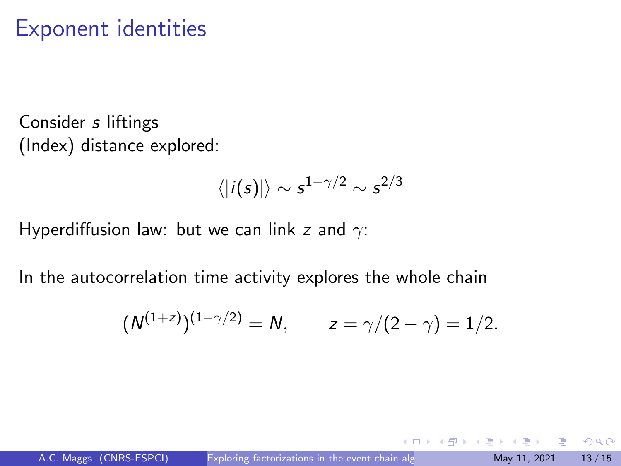### <span id="page-12-0"></span>Exponent identities

Consider s liftings (Index) distance explored:

$$
\langle |i(s)| \rangle \sim s^{1-\gamma/2} \sim s^{2/3}
$$

Hyperdiffusion law: but we can link z and  $\gamma$ :

In the autocorrelation time activity explores the whole chain

$$
(N^{(1+z)})^{(1-\gamma/2)} = N
$$
,  $z = \gamma/(2-\gamma) = 1/2$ .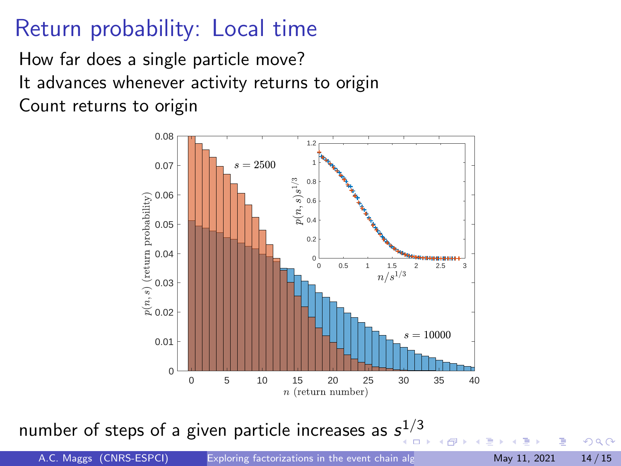## Return probability: Local time

How far does a single particle move? It advances whenever activity returns to origin Count returns to origin



number of [s](#page-12-0)teps of a given particle increases as  $\mathsf{s}^{1/3}$ 

A.C. Maggs (CNRS-ESPCI) [Exploring factorizations in the event chain algorithm](#page-0-0) May 11, 2021 14/15